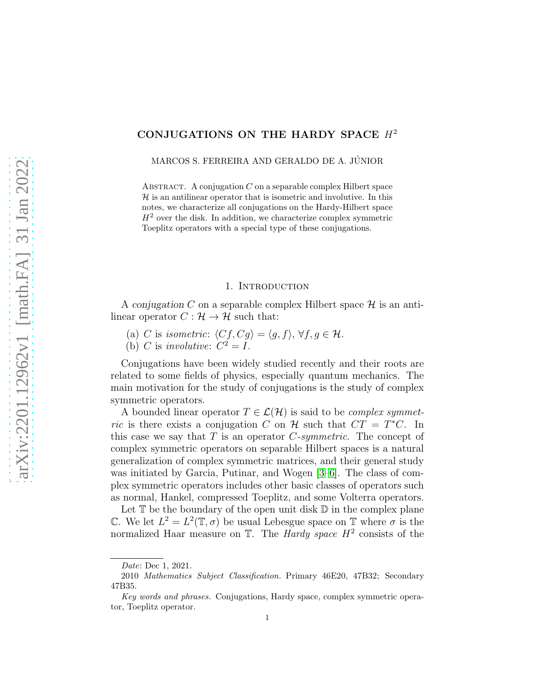## CONJUGATIONS ON THE HARDY SPACE  $H^2$

MARCOS S. FERREIRA AND GERALDO DE A. JÚNIOR

ABSTRACT. A conjugation  $C$  on a separable complex Hilbert space  $H$  is an antilinear operator that is isometric and involutive. In this notes, we characterize all conjugations on the Hardy-Hilbert space  $H<sup>2</sup>$  over the disk. In addition, we characterize complex symmetric Toeplitz operators with a special type of these conjugations.

## 1. INTRODUCTION

A conjugation C on a separable complex Hilbert space  $\mathcal H$  is an antilinear operator  $C : \mathcal{H} \to \mathcal{H}$  such that:

- (a) C is isometric:  $\langle Cf, Cg \rangle = \langle g, f \rangle, \forall f, g \in \mathcal{H}$ .
- (b) C is involutive:  $C^2 = I$ .

Conjugations have been widely studied recently and their roots are related to some fields of physics, especially quantum mechanics. The main motivation for the study of conjugations is the study of complex symmetric operators.

A bounded linear operator  $T \in \mathcal{L}(\mathcal{H})$  is said to be *complex symmetric* is there exists a conjugation C on  $\mathcal{H}$  such that  $CT = T^*C$ . In this case we say that  $T$  is an operator  $C$ -symmetric. The concept of complex symmetric operators on separable Hilbert spaces is a natural generalization of complex symmetric matrices, and their general study was initiated by Garcia, Putinar, and Wogen [\[3](#page-5-0)[–6\]](#page-5-1). The class of complex symmetric operators includes other basic classes of operators such as normal, Hankel, compressed Toeplitz, and some Volterra operators.

Let  $\mathbb T$  be the boundary of the open unit disk  $\mathbb D$  in the complex plane C. We let  $L^2 = L^2(\mathbb{T}, \sigma)$  be usual Lebesgue space on  $\mathbb{T}$  where  $\sigma$  is the normalized Haar measure on  $\mathbb{T}$ . The *Hardy space*  $H^2$  consists of the

Date: Dec 1, 2021.

<sup>2010</sup> Mathematics Subject Classification. Primary 46E20, 47B32; Secondary 47B35.

Key words and phrases. Conjugations, Hardy space, complex symmetric operator, Toeplitz operator.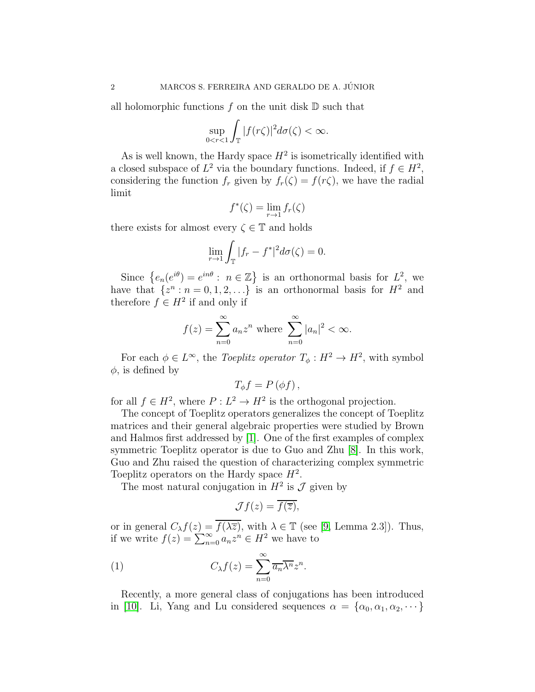all holomorphic functions  $f$  on the unit disk  $\mathbb D$  such that

$$
\sup_{0 < r < 1} \int_{\mathbb{T}} |f(r\zeta)|^2 d\sigma(\zeta) < \infty.
$$

As is well known, the Hardy space  $H^2$  is isometrically identified with a closed subspace of  $L^2$  via the boundary functions. Indeed, if  $f \in H^2$ , considering the function  $f_r$  given by  $f_r(\zeta) = f(r\zeta)$ , we have the radial limit

$$
f^*(\zeta)=\lim_{r\to 1}f_r(\zeta)
$$

there exists for almost every  $\zeta \in \mathbb{T}$  and holds

$$
\lim_{r \to 1} \int_{\mathbb{T}} |f_r - f^*|^2 d\sigma(\zeta) = 0.
$$

Since  $\{e_n(e^{i\theta})=e^{in\theta}: n \in \mathbb{Z}\}\$ is an orthonormal basis for  $L^2$ , we have that  $\{z^n : n = 0, 1, 2, \ldots\}$  is an orthonormal basis for  $H^2$  and therefore  $f \in H^2$  if and only if

$$
f(z) = \sum_{n=0}^{\infty} a_n z^n
$$
 where 
$$
\sum_{n=0}^{\infty} |a_n|^2 < \infty.
$$

For each  $\phi \in L^{\infty}$ , the *Toeplitz operator*  $T_{\phi}: H^2 \to H^2$ , with symbol  $\phi$ , is defined by

$$
T_{\phi}f=P\left(\phi f\right),\,
$$

for all  $f \in H^2$ , where  $P: L^2 \to H^2$  is the orthogonal projection.

The concept of Toeplitz operators generalizes the concept of Toeplitz matrices and their general algebraic properties were studied by Brown and Halmos first addressed by [\[1\]](#page-5-2). One of the first examples of complex symmetric Toeplitz operator is due to Guo and Zhu [\[8\]](#page-5-3). In this work, Guo and Zhu raised the question of characterizing complex symmetric Toeplitz operators on the Hardy space  $H^2$ .

The most natural conjugation in  $H^2$  is  $\mathcal J$  given by

<span id="page-1-0"></span>
$$
\mathcal{J}f(z) = \overline{f(\overline{z})},
$$

or in general  $C_{\lambda} f(z) = \overline{f(\lambda \overline{z})}$ , with  $\lambda \in \mathbb{T}$  (see [\[9,](#page-5-4) Lemma 2.3]). Thus, if we write  $f(z) = \sum_{n=0}^{\infty} a_n z^n \in H^2$  we have to

(1) 
$$
C_{\lambda}f(z) = \sum_{n=0}^{\infty} \overline{a_n} \overline{\lambda^n} z^n.
$$

Recently, a more general class of conjugations has been introduced in [\[10\]](#page-5-5). Li, Yang and Lu considered sequences  $\alpha = {\alpha_0, \alpha_1, \alpha_2, \cdots}$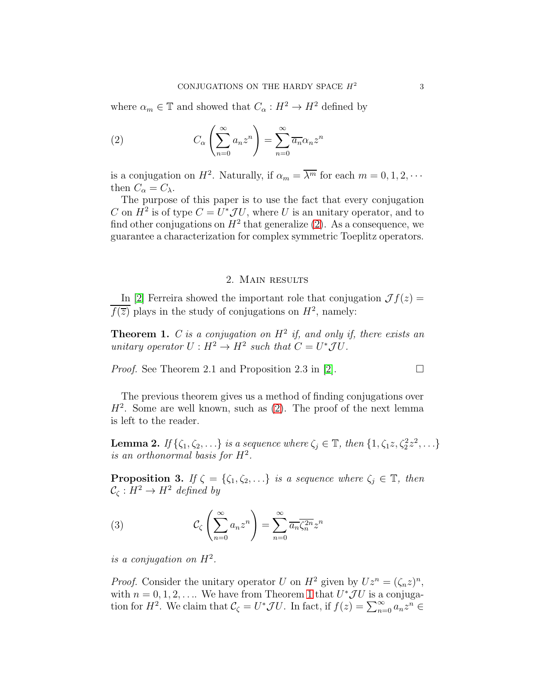where  $\alpha_m \in \mathbb{T}$  and showed that  $C_\alpha : H^2 \to H^2$  defined by

<span id="page-2-0"></span>(2) 
$$
C_{\alpha} \left( \sum_{n=0}^{\infty} a_n z^n \right) = \sum_{n=0}^{\infty} \overline{a_n} \alpha_n z^n
$$

is a conjugation on  $H^2$ . Naturally, if  $\alpha_m = \overline{\lambda^m}$  for each  $m = 0, 1, 2, \cdots$ then  $C_{\alpha} = C_{\lambda}$ .

The purpose of this paper is to use the fact that every conjugation C on  $H^2$  is of type  $C = U^* \mathcal{J} U$ , where U is an unitary operator, and to find other conjugations on  $H^2$  that generalize [\(2\)](#page-2-0). As a consequence, we guarantee a characterization for complex symmetric Toeplitz operators.

## 2. Main results

In [\[2\]](#page-5-6) Ferreira showed the important role that conjugation  $\mathcal{J}f(z) =$  $\overline{f(\overline{z})}$  plays in the study of conjugations on  $H^2$ , namely:

<span id="page-2-1"></span>**Theorem 1.** *C* is a conjugation on  $H^2$  if, and only if, there exists an unitary operator  $U: H^2 \to H^2$  such that  $C = U^* \mathcal{J} U$ .

*Proof.* See Theorem 2.1 and Proposition 2.3 in [\[2\]](#page-5-6).  $\Box$ 

The previous theorem gives us a method of finding conjugations over  $H^2$ . Some are well known, such as  $(2)$ . The proof of the next lemma is left to the reader.

**Lemma 2.** If  $\{\zeta_1, \zeta_2, \ldots\}$  is a sequence where  $\zeta_j \in \mathbb{T}$ , then  $\{1, \zeta_1 z, \zeta_2^2 z^2, \ldots\}$ is an orthonormal basis for  $H^2$ .

<span id="page-2-3"></span>**Proposition 3.** If  $\zeta = {\zeta_1, \zeta_2, \ldots}$  is a sequence where  $\zeta_j \in \mathbb{T}$ , then  $C_{\zeta}: H^2 \to H^2$  defined by

<span id="page-2-2"></span>(3) 
$$
\mathcal{C}_{\zeta}\left(\sum_{n=0}^{\infty} a_n z^n\right) = \sum_{n=0}^{\infty} \overline{a_n} \overline{\zeta_n^{2n}} z^n
$$

is a conjugation on  $H^2$ .

*Proof.* Consider the unitary operator U on  $H^2$  given by  $Uz^n = (\zeta_n z)^n$ , with  $n = 0, 1, 2, \ldots$  $n = 0, 1, 2, \ldots$  $n = 0, 1, 2, \ldots$  We have from Theorem 1 that  $U^* \mathcal{J} U$  is a conjugation for  $H^2$ . We claim that  $\mathcal{C}_{\zeta} = U^* \mathcal{J} U$ . In fact, if  $f(z) = \sum_{n=0}^{\infty} a_n z^n \in$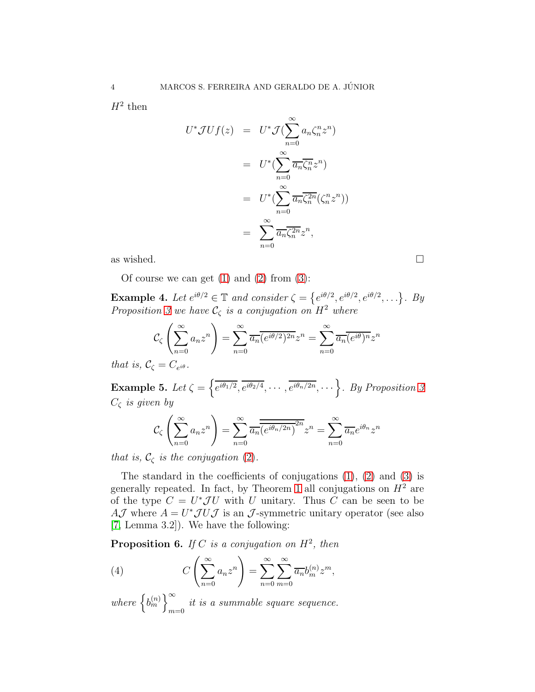$H^2$  then

$$
U^* \mathcal{J} U f(z) = U^* \mathcal{J} \left( \sum_{n=0}^{\infty} a_n \zeta_n^n z^n \right)
$$
  

$$
= U^* \left( \sum_{n=0}^{\infty} \overline{a_n} \overline{\zeta_n^n} z^n \right)
$$
  

$$
= U^* \left( \sum_{n=0}^{\infty} \overline{a_n} \overline{\zeta_n^{2n}} (\zeta_n^n z^n) \right)
$$
  

$$
= \sum_{n=0}^{\infty} \overline{a_n} \overline{\zeta_n^{2n}} z^n,
$$

as wished.  $\square$ 

Of course we can get  $(1)$  and  $(2)$  from  $(3)$ :

Example 4. Let  $e^{i\theta/2} \in \mathbb{T}$  and consider  $\zeta = \{e^{i\theta/2}, e^{i\theta/2}, e^{i\theta/2}, \dots\}$ . By Proposition [3](#page-2-3) we have  $\mathcal{C}_{\zeta}$  is a conjugation on  $H^2$  where

$$
\mathcal{C}_{\zeta}\left(\sum_{n=0}^{\infty} a_n z^n\right) = \sum_{n=0}^{\infty} \overline{a_n} \overline{(e^{i\theta/2})^{2n}} z^n = \sum_{n=0}^{\infty} \overline{a_n} \overline{(e^{i\theta})^n} z^n
$$

that is,  $\mathcal{C}_{\zeta} = C_{e^{i\theta}}$ .

**Example 5.** Let  $\zeta = \left\{ \overline{e^{i\theta_1/2}}, \overline{e^{i\theta_2/4}}, \cdots, \overline{e^{i\theta_n/2n}}, \cdots \right\}$ . By Proposition [3](#page-2-3)  $C_{\zeta}$  is given by

$$
\mathcal{C}_{\zeta}\left(\sum_{n=0}^{\infty} a_n z^n\right) = \sum_{n=0}^{\infty} \overline{a_n} \overline{\left(e^{i\theta_n/2n}\right)^{2n}} z^n = \sum_{n=0}^{\infty} \overline{a_n} e^{i\theta_n} z^n
$$

that is,  $\mathcal{C}_{\zeta}$  is the conjugation [\(2\)](#page-2-0).

The standard in the coefficients of conjugations  $(1)$ ,  $(2)$  and  $(3)$  is generally repeated. In fact, by Theorem [1](#page-2-1) all conjugations on  $H^2$  are of the type  $C = U^* \mathcal{J} U$  with U unitary. Thus C can be seen to be AJ where  $A = U^*JUJ$  is an J-symmetric unitary operator (see also [\[7,](#page-5-7) Lemma 3.2]). We have the following:

<span id="page-3-1"></span>**Proposition 6.** If C is a conjugation on  $H^2$ , then

<span id="page-3-0"></span>(4) 
$$
C\left(\sum_{n=0}^{\infty} a_n z^n\right) = \sum_{n=0}^{\infty} \sum_{m=0}^{\infty} \overline{a_n} b_m^{(n)} z^m,
$$

where  $\left\{b_m^{(n)}\right\}^{\infty}$ it is a summable square sequence.<br> $m=0$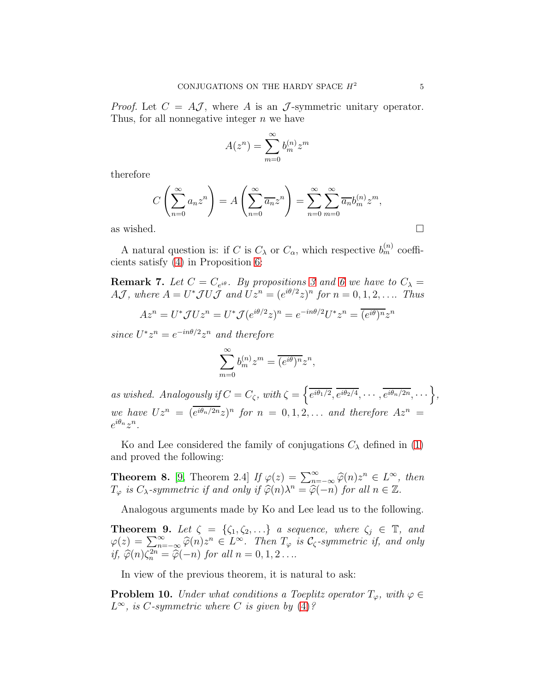*Proof.* Let  $C = A\mathcal{J}$ , where A is an  $\mathcal{J}$ -symmetric unitary operator. Thus, for all nonnegative integer  $n$  we have

$$
A(z^n)=\sum_{m=0}^\infty b_m^{(n)}z^m
$$

therefore

$$
C\left(\sum_{n=0}^{\infty} a_n z^n\right) = A\left(\sum_{n=0}^{\infty} \overline{a_n} z^n\right) = \sum_{n=0}^{\infty} \sum_{m=0}^{\infty} \overline{a_n} b_m^{(n)} z^m,
$$
as wished.

A natural question is: if C is  $C_{\lambda}$  or  $C_{\alpha}$ , which respective  $b_m^{(n)}$  coefficients satisfy [\(4\)](#page-3-0) in Proposition [6:](#page-3-1)

**Remark 7.** Let  $C = C_{e^{i\theta}}$ . By propositions [3](#page-2-3) and [6](#page-3-1) we have to  $C_{\lambda} =$ AJ, where  $A = U^* \mathcal{J} U \tilde{\mathcal{J}}$  and  $Uz^n = (e^{i\theta/2}z)^n$  for  $n = 0, 1, 2, \dots$  Thus

$$
Az^n = U^* \mathcal{J} U z^n = U^* \mathcal{J} (e^{i\theta/2} z)^n = e^{-in\theta/2} U^* z^n = \overline{(e^{i\theta})^n} z^n
$$

since  $U^*z^n = e^{-in\theta/2}z^n$  and therefore

$$
\sum_{m=0}^{\infty} b_m^{(n)} z^m = \overline{(e^{i\theta})^n} z^n,
$$

as wished. Analogously if  $C = C_{\zeta}$ , with  $\zeta = \left\{ \overline{e^{i\theta_1/2}}, \overline{e^{i\theta_2/4}}, \cdots, \overline{e^{i\theta_n/2n}}, \cdots \right\},$ we have  $Uz^n = (e^{i\theta_n/2n}z)^n$  for  $n = 0, 1, 2, \ldots$  and therefore  $Az^n =$  $e^{i\theta_n}z^n$ .

Ko and Lee considered the family of conjugations  $C_{\lambda}$  defined in [\(1\)](#page-1-0) and proved the following:

**Theorem 8.** [\[9,](#page-5-4) Theorem 2.4] If  $\varphi(z) = \sum_{n=-\infty}^{\infty} \widehat{\varphi}(n) z^n \in L^{\infty}$ , then<br> $T_{\phi}(z) = \widehat{\varphi}(n) z^n \in L^{\infty}$ , then  $T_{\varphi}$  is  $C_{\lambda}$ -symmetric if and only if  $\widehat{\varphi}(n)\lambda^n = \widehat{\varphi}(-n)$  for all  $n \in \mathbb{Z}$ .

Analogous arguments made by Ko and Lee lead us to the following.

**Theorem 9.** Let  $\zeta = {\zeta_1, \zeta_2, \ldots}$  a sequence, where  $\zeta_j \in \mathbb{T}$ , and  $\varphi(z) = \sum_{n=-\infty}^{\infty} \widehat{\varphi}(n) z^n \in L^{\infty}$ . Then  $T_{\varphi}$  is  $C_{\zeta}$ -symmetric if, and only if,  $\widehat{\varphi}(n)\zeta_n^{2n} = \widehat{\varphi}(-n)$  for all  $n = 0, 1, 2 \ldots$ .

In view of the previous theorem, it is natural to ask:

**Problem 10.** Under what conditions a Toeplitz operator  $T_{\varphi}$ , with  $\varphi \in$  $L^{\infty}$ , is C-symmetric where C is given by  $(4)$ ?